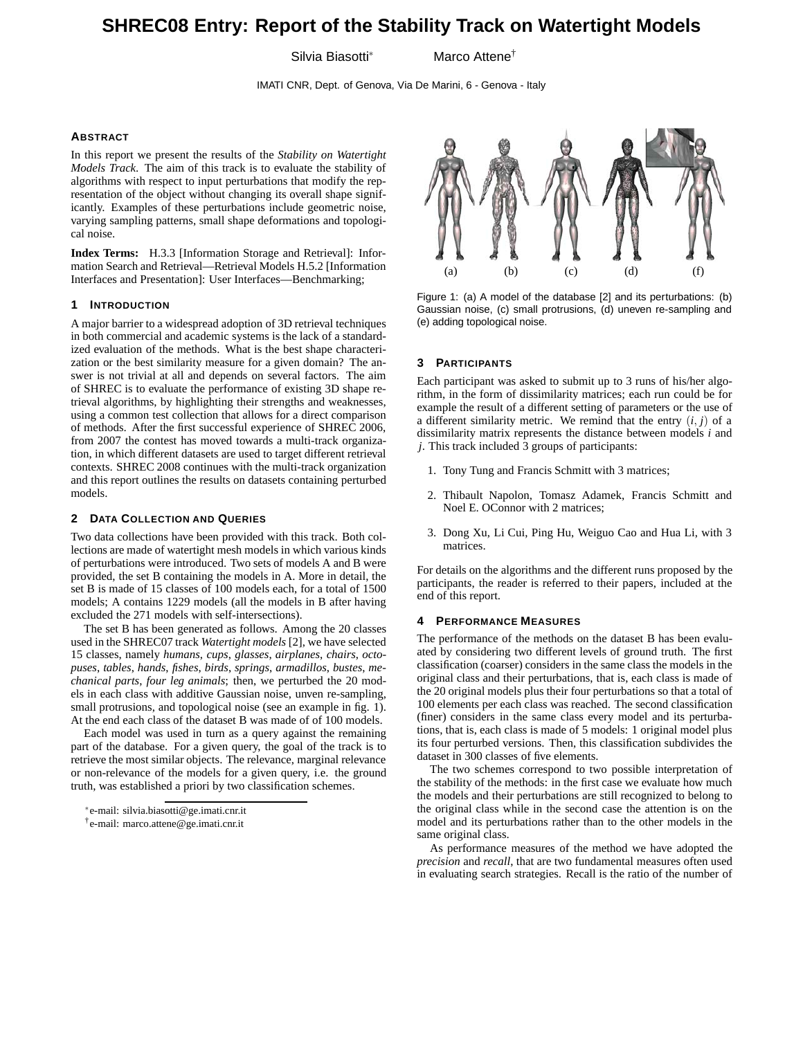# **SHREC08 Entry: Report of the Stability Track on Watertight Models**

Silvia Biasotti<sup>∗</sup> Marco Attene†

IMATI CNR, Dept. of Genova, Via De Marini, 6 - Genova - Italy

### **ABSTRACT**

In this report we present the results of the *Stability on Watertight Models Track*. The aim of this track is to evaluate the stability of algorithms with respect to input perturbations that modify the representation of the object without changing its overall shape significantly. Examples of these perturbations include geometric noise, varying sampling patterns, small shape deformations and topological noise.

**Index Terms:** H.3.3 [Information Storage and Retrieval]: Information Search and Retrieval—Retrieval Models H.5.2 [Information Interfaces and Presentation]: User Interfaces—Benchmarking;

# **1 INTRODUCTION**

A major barrier to a widespread adoption of 3D retrieval techniques in both commercial and academic systems is the lack of a standardized evaluation of the methods. What is the best shape characterization or the best similarity measure for a given domain? The answer is not trivial at all and depends on several factors. The aim of SHREC is to evaluate the performance of existing 3D shape retrieval algorithms, by highlighting their strengths and weaknesses, using a common test collection that allows for a direct comparison of methods. After the first successful experience of SHREC 2006, from 2007 the contest has moved towards a multi-track organization, in which different datasets are used to target different retrieval contexts. SHREC 2008 continues with the multi-track organization and this report outlines the results on datasets containing perturbed models.

# **2 DATA COLLECTION AND QUERIES**

Two data collections have been provided with this track. Both collections are made of watertight mesh models in which various kinds of perturbations were introduced. Two sets of models A and B were provided, the set B containing the models in A. More in detail, the set B is made of 15 classes of 100 models each, for a total of 1500 models; A contains 1229 models (all the models in B after having excluded the 271 models with self-intersections).

The set B has been generated as follows. Among the 20 classes used in the SHREC07 track *Watertight models* [2], we have selected 15 classes, namely *humans*, *cups*, *glasses*, *airplanes*, *chairs*, *octopuses*, *tables*, *hands*, *fishes*, *birds*, *springs*, *armadillos*, *bustes*, *mechanical parts*, *four leg animals*; then, we perturbed the 20 models in each class with additive Gaussian noise, unven re-sampling, small protrusions, and topological noise (see an example in fig. 1). At the end each class of the dataset B was made of of 100 models.

Each model was used in turn as a query against the remaining part of the database. For a given query, the goal of the track is to retrieve the most similar objects. The relevance, marginal relevance or non-relevance of the models for a given query, i.e. the ground truth, was established a priori by two classification schemes.



Figure 1: (a) A model of the database [2] and its perturbations: (b) Gaussian noise, (c) small protrusions, (d) uneven re-sampling and (e) adding topological noise.

#### **3 PARTICIPANTS**

Each participant was asked to submit up to 3 runs of his/her algorithm, in the form of dissimilarity matrices; each run could be for example the result of a different setting of parameters or the use of a different similarity metric. We remind that the entry  $(i, j)$  of a dissimilarity matrix represents the distance between models *i* and *j*. This track included 3 groups of participants:

- 1. Tony Tung and Francis Schmitt with 3 matrices;
- 2. Thibault Napolon, Tomasz Adamek, Francis Schmitt and Noel E. OConnor with 2 matrices;
- 3. Dong Xu, Li Cui, Ping Hu, Weiguo Cao and Hua Li, with 3 matrices.

For details on the algorithms and the different runs proposed by the participants, the reader is referred to their papers, included at the end of this report.

#### **4 PERFORMANCE MEASURES**

The performance of the methods on the dataset B has been evaluated by considering two different levels of ground truth. The first classification (coarser) considers in the same class the models in the original class and their perturbations, that is, each class is made of the 20 original models plus their four perturbations so that a total of 100 elements per each class was reached. The second classification (finer) considers in the same class every model and its perturbations, that is, each class is made of 5 models: 1 original model plus its four perturbed versions. Then, this classification subdivides the dataset in 300 classes of five elements.

The two schemes correspond to two possible interpretation of the stability of the methods: in the first case we evaluate how much the models and their perturbations are still recognized to belong to the original class while in the second case the attention is on the model and its perturbations rather than to the other models in the same original class.

As performance measures of the method we have adopted the *precision* and *recall*, that are two fundamental measures often used in evaluating search strategies. Recall is the ratio of the number of

<sup>∗</sup>e-mail: silvia.biasotti@ge.imati.cnr.it

<sup>†</sup>e-mail: marco.attene@ge.imati.cnr.it